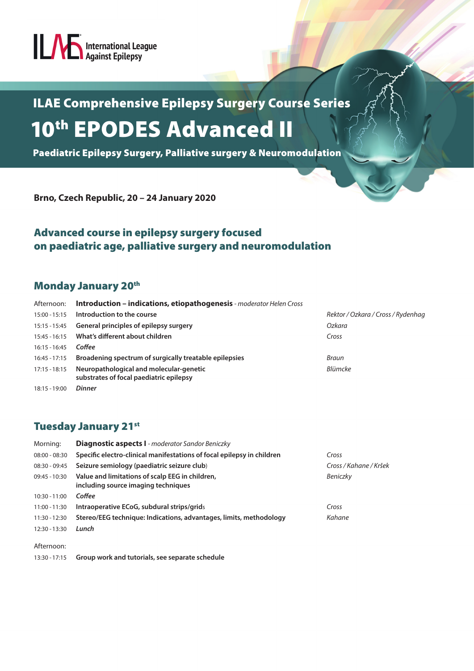# **Anti-Advisor Against Epilepsy**

## ILAE Comprehensive Epilepsy Surgery Course Series 10<sup>th</sup> EPODES Advanced II

Paediatric Epilepsy Surgery, Palliative surgery & Neuromodulation

**Brno, Czech Republic, 20 – 24 January 2020**

#### Advanced course in epilepsy surgery focused on paediatric age, palliative surgery and neuromodulation

#### Monday January 20<sup>th</sup>

| Afternoon:      | Introduction - indications, etiopathogenesis - moderator Helen Cross               |                                    |  |
|-----------------|------------------------------------------------------------------------------------|------------------------------------|--|
| 15:00 - 15:15   | Introduction to the course                                                         | Rektor / Ozkara / Cross / Rydenhag |  |
|                 | 15:15 - 15:45 General principles of epilepsy surgery                               | Ozkara                             |  |
| 15:45 - 16:15   | What's different about children                                                    | Cross                              |  |
| $16:15 - 16:45$ | Coffee                                                                             |                                    |  |
| $16:45 - 17:15$ | Broadening spectrum of surgically treatable epilepsies                             | Braun                              |  |
| $17:15 - 18:15$ | Neuropathological and molecular-genetic<br>substrates of focal paediatric epilepsy | Blümcke                            |  |
| 18:15 - 19:00   | <b>Dinner</b>                                                                      |                                    |  |

#### **Tuesday January 21st**

| Morning:        | <b>Diagnostic aspects I</b> - moderator Sandor Beniczky                                |                        |
|-----------------|----------------------------------------------------------------------------------------|------------------------|
| $08:00 - 08:30$ | Specific electro-clinical manifestations of focal epilepsy in children                 | Cross                  |
| $08:30 - 09:45$ | Seizure semiology (paediatric seizure club)                                            | Cross / Kahane / Kršek |
| $09:45 - 10:30$ | Value and limitations of scalp EEG in children,<br>including source imaging techniques | Beniczky               |
| $10:30 - 11:00$ | Coffee                                                                                 |                        |
| 11:00 - 11:30   | Intraoperative ECoG, subdural strips/grids                                             | Cross                  |
| 11:30 - 12:30   | Stereo/EEG technique: Indications, advantages, limits, methodology                     | Kahane                 |
| 12:30 - 13:30   | Lunch                                                                                  |                        |
| Afternoon:      |                                                                                        |                        |

13:30 - 17:15 **Group work and tutorials, see separate schedule**